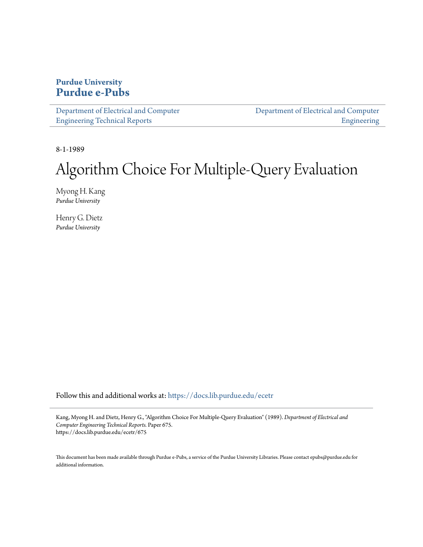## **Purdue University [Purdue e-Pubs](https://docs.lib.purdue.edu?utm_source=docs.lib.purdue.edu%2Fecetr%2F675&utm_medium=PDF&utm_campaign=PDFCoverPages)**

| Department of Electrical and Computer | Department of Electrical and Computer |
|---------------------------------------|---------------------------------------|
| <b>Engineering Technical Reports</b>  | Engineering                           |

8-1-1989

## Algorithm Choice For Multiple-Query Evaluation

Myong H. Kang *Purdue University*

Henry G. Dietz *Purdue University*

Follow this and additional works at: [https://docs.lib.purdue.edu/ecetr](https://docs.lib.purdue.edu/ecetr?utm_source=docs.lib.purdue.edu%2Fecetr%2F675&utm_medium=PDF&utm_campaign=PDFCoverPages)

Kang, Myong H. and Dietz, Henry G., "Algorithm Choice For Multiple-Query Evaluation" (1989). *Department of Electrical and Computer Engineering Technical Reports.* Paper 675. https://docs.lib.purdue.edu/ecetr/675

This document has been made available through Purdue e-Pubs, a service of the Purdue University Libraries. Please contact epubs@purdue.edu for additional information.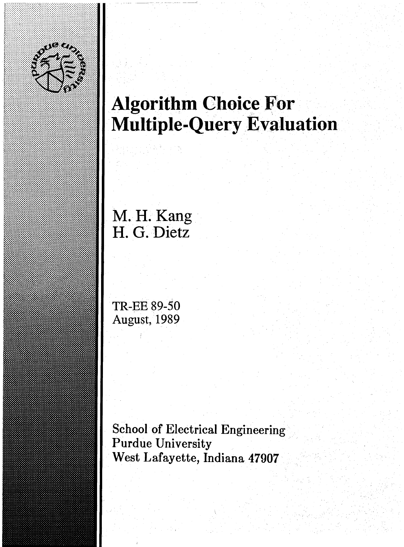

IilliIllllMii

# **Algorithm Choice For Multiple-Query Evaluation**

**M. H. Kang** H. G. Dietz

**TR-EE 89-50 August, 1989**

**School of Electrical Engineering Purdue University West Lafayette, Indiana 47907**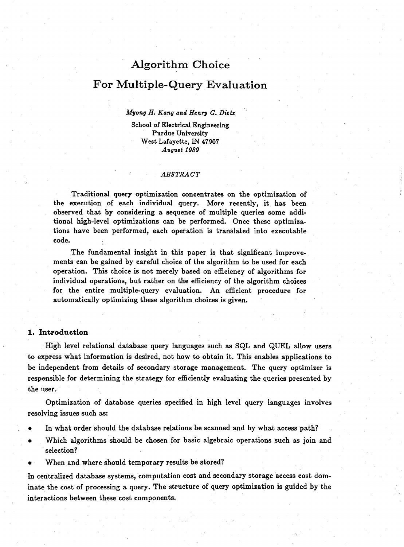## **Algorithm Choice**

### For Multiple-Query Evaluation

#### *Myong H***.** *Kang and Henry G. Dietz*

**School of Electrical Engineering Purdue University W est Lafayette, IN 47907** *August 1989*

#### *ABSTRACT*

Traditional query optimization concentrates on the optimization of the execution of each individual query. More recently, it has been observed that by considering a sequence of multiple queries some additional high-level optimizations can be performed. Once these optimizations have been performed, each operation is translated into executable code.

The fundamental insight in this paper is that significant improvements can be gained by careful choice of the algorithm to be used for each operation. This choice is not merely based on efficiency of algorithms for individual operations, but rather on the efficiency of the algorithm choices for the entire multiple-query evaluation. An efficient procedure for automatically optimizing these algorithm choices is given.

#### **I. Introduction**

High level relational database query languages such as SQL and QUEL allow users to express what information is desired, not how to obtain it. This enables applications to be independent from details of secondary storage management. The query optimizer is responsible for determining the strategy for efficiently evaluating the queries presented by the user.

Optimization of database queries specified in high level query languages involves resolving issues such as:

- In what order should the database relations be scanned and by what access path?
- Which algorithms should be chosen for basic algebraic operations such as join and selection?
- When and where should temporary results be stored?

In centralized database systems, computation cost and secondary storage access cost dominate the cost of processing a query. The structure of query optimization is guided by the interactions between these cost components.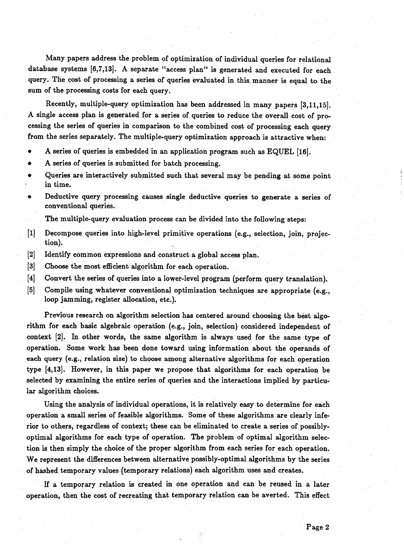Many papers address the problem of optimization of individual queries for relational database systems [6,7,13]. A separate "access plan" is generated and executed for each query. The cost of processing a series of queries evaluated in this, manner is equal to the sum of the processing costs for each query.

Recently, multiple-query optimization has been addressed in many papers [3,11,15]. A single access plan is generated for a series of queries to reduce the overall cost of processing the series of queries in comparison to the combined cost of processing each query from the series separately. The multiple-query optimization approach is attractive when:

- A series of queries is embedded in an application program such as EQUEL [16].
- A series of queries is submitted for batch processing.
- Queries are interactively submitted such that several may be pending at some point in time.
- Deductive query processing causes single deductive queries to generate a series of conventional queries.

The multiple-query evaluation process can be divided into the following steps:

- [1] Decompose queries into high-level primitive operations (e.g., selection, join, projection).
- [2] Identify common expressions and construct a global access plan.
- [3] Choose the most efficient algorithm for each operation.
- [4] Convert the series of queries into a lower-level program (perform query translation).
- [5] Compile using whatever conventional optimization techniques are appropriate (e.g., loop jamming, register allocation, etc.).

Previous research on algorithm selection has centered around choosing the best algorithm for each basic algebraic operation (e.g., join, selection) considered independent of context [2]. In other words, the same algorithm is always used for the same type of operation. Some work has been done toward using information about the operands of each query (e.g., relation size) to choose among alternative algorithms for each operation type [4,13]. However, in this paper we propose that algorithms for each operation be selected by examining the entire series of queries and the interactions implied by particular algorithm choices.

Using the analysis of individual operations, it is relatively easy to determine for each operation a small series of feasible algorithms. Some of these algorithms are clearly inferior to others, regardless of context; these can be eliminated to create a series of possiblyoptimal algorithms for each type of operation. The problem of optimal algorithm selection is then simply the choice of the proper algorithm from each series for each operation. We represent the differences between alternative possibly-optimal algorithms by the series of hashed temporary values (temporary relations) each algorithm uses and creates.

If a temporary relation is created in one operation and can be reused in a later operation, then the cost of recreating that temporary relation can be averted. This effect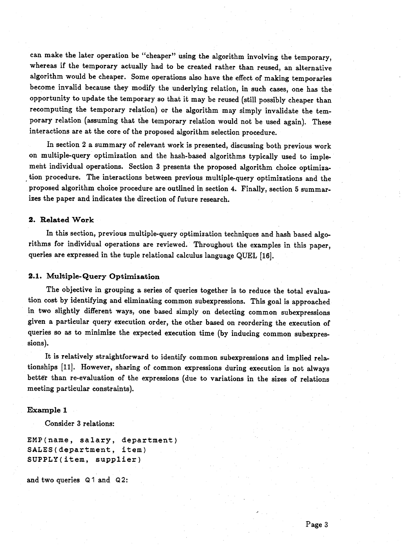can make the later operation be "cheaper" using the algorithm involving the temporary, whereas if the temporary actually had to be created rather than reused, an alternative algorithm would be cheaper. Some operations also have the effect of making temporaries become invalid because they modify the underlying relation, in such cases, one has the opportunity to update the temporary so that it may be reused (still possibly cheaper than recomputing the temporary relation) or the algorithm may simply invalidate the temporary relation (assuming that the temporary relation would not be used again). These interactions are at the core of the proposed algorithm selection procedure.

In section 2 a summary of relevant work is presented, discussing both previous work on multiple-query optimization and the hash-based algorithms typically used to implement individual operations. Section 3 presents the proposed algorithm choice optimization procedure. The interactions between previous multiple-query optimizations and the proposed algorithm choice procedure are outlined in section 4. Finally, section 5 summarizes the paper and indicates the direction of future research.

#### 2. Related Work

In this section, previous multiple-query optimization techniques and hash based algorithms for individual operations are reviewed. Throughout the examples in this paper, queries are expressed in the tuple relational calculus language QUEL [16].

#### 2.1. Multiple-Query Optimization

**The objective in grouping a series of queries together is to reduce the total evaluation cost by identifying and eliminating common subexpressions. This goal is approached in two slightly different ways, one based simply on detecting common subexpressions given a particular query execution order, the other based on reordering the execution of queries so as to minimize the expected execution time (by inducing common subexpressions).**

It is relatively straightforward to identify common subexpressions and implied relationships [11]. However, sharing of common expressions during execution is not always better than re-evaluation of the expressions (due to variations in the sizes of relations meeting particular constraints).

#### **Exam ple I**

Consider 3 relations:

**EMP(name, salary, department) SALES(department, item) SUPPLY(item, supplier)**

and two queries Q1 and Q2: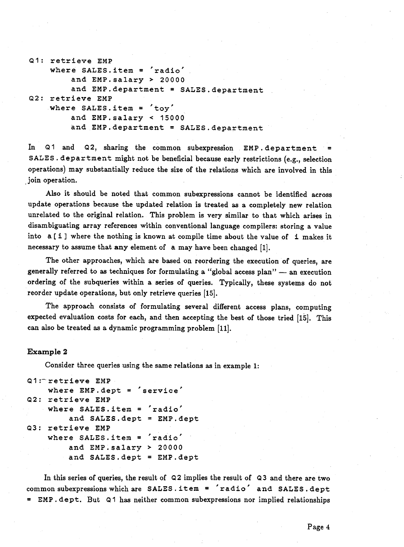```
Q1: retrieve EMP
    where SALES.item = 'radio'
         and EMP. salary > 20000
         and EMP. department = SALES. department
Q2: r e t r i e v e EMP
    where SALES.item = 'toy'
        and EMP. salary < 15000and EMP. department = SALES. department
```
In Q1 and Q2, sharing the common subexpression EMP. department = SALES. department might not be beneficial because early restrictions (e.g., selection **operations) may substantially reduce the size of the relations which are involved in this join operation.**

Also it should be noted that common subexpressions cannot be identified across update operations because the updated relation is treated as a completely new relation unrelated to the original relation. This problem is very similar to that which arises in disambiguating array references within conventional language compilers: storing a value into a [ **i** ] where the nothing is known at compile time about the value of **i** makes it necessary to assume that **any** element of a may have been changed [I].

The other approaches, which are based on reordering the execution of queries, are generally referred to as techniques for formulating a "global access plan" — an execution ordering of the subqueries within a series of queries. Typically, these systems do not reorder update operations, but only retrieve queries [15].

The approach consists of formulating several different access plans, computing expected evaluation costs for each, and then accepting the best of those tried [15]. This can also be treated as a dynamic programming problem [11].

#### **Exam ple 2**

**Consider three queries using the same relations as in example I:**

```
Q1 : retrieve EMP
    where EMP. dept = 'service'
Q2: retrieve EMP
    where SALES.item = 'radio'
        and SALES.dept = EMP.dept
Q3: retrieve EMP
    where SALES.item = 'radio'
        and EMP.salary > 20000
        and SALES.dept = EMP.dept
```
In this series of queries, the result of Q2 implies the result of Q3 and there are two common subexpressions which are SALES. item = 'radio' and SALES. dept **= EM P.dept. But Q1 has neither common subexpressions nor implied relationships**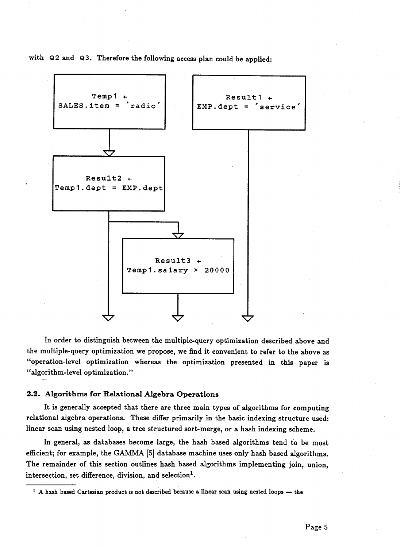with Q2 and Q3. Therefore the following access plan could be applied:



In order to distinguish between the multiple-query optimization described above and the multiple-query optimization we propose, we find it convenient to refer to the above as "operation-level optimization whereas the optimization presented in this paper is "algorithm-level optimization. *'9*

#### 2.2. Algorithms for Relational Algebra Operations

It is generally accepted that there are three main types of algorithms for computing relational algebra operations. These differ primarily in the basic indexing structure used: linear scan using nested loop, a tree structured sort-merge, or a hash indexing scheme.

In general, as databases become large, the hash based algorithms tend to be most efficient; for example, the GAMMA [5] database machine uses only hash based algorithms. The remainder of this section outlines hash based algorithms implementing join, union, intersection, set difference, division, and selection<sup>1</sup>.

**<sup>1</sup> A hash based Cartesian product is not described because a linear scan using nested loops — the**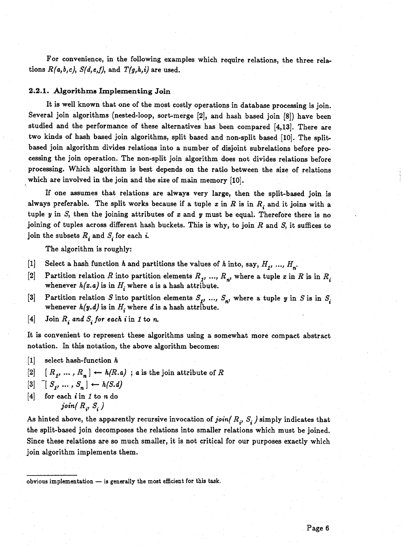For convenience, in the following examples which require relations, the three relations  $R(a,b,c)$ ,  $S(d,e,f)$ , and  $T(g,h,i)$  are used.

#### **2.2.1.** Algorithms Implementing Join

It is well known that one of the most costly operations in database processing is join. Several join algorithms (nested-loop, sort-merge [2], and hash based join [8]) have been studied and the performance of these alternatives has been compared [4,13]. There are two kinds of hash based join algorithms, split based and non-split based [10]. The splitbased join algorithm divides relations into a number of disjoint subrelations before processing the join operation. The non-split join algorithm does not divides relations before processing. Which algorithm is best depends on the ratio between the size of relations which are involved in the join and the size of main memory [10].

If one assumes that relations are always very large, then the split-based join is always preferable. The split works because if a tuple  $x$  in  $R$  is in  $R_i$  and it joins with a tuple *y* in *S,* then the joining attributes of *x* and *y* must be equal. Therefore there is no joining of tuples across different hash buckets. This is why, to join *R* and *S,* it suffices to join the subsets  $R_i$  and  $S_i$  for each *i*.

The algorithm is roughly:

- [1] Select a hash function *h* and partitions the values of *h* into, say,  $H_1$ , ...,  $H_n$ .
- [2] Partition relation *R* into partition elements  $R_1$ , ...,  $R_n$ , where a tuple *x* in *R* is in  $R_i$ whenever  $h(x.a)$  is in  $H_i$  where a is a hash attribute.
- [3] Partition relation *S* into partition elements  $S_1$ , ...,  $S_n$ , where a tuple *y* in *S* is in  $S_i$ whenever  $h(y,d)$  is in  $H_i$  where d is a hash attribute.
- [4] Join  $R_i$  and  $S_i$  for each i in 1 to n.

It is convenient to represent these algorithms using a somewhat more compact abstract notation. In this notation, the above algorithm becomes:

- [1] select hash-function *h*
- $[2]$   $[R_1, ..., R_n] \leftarrow h(R.a)$ ; *a* is the join attribute of *R*
- $[3] \begin{bmatrix} S_1, & \ldots, & S_n \end{bmatrix} \leftarrow h(S.d)$
- [4] for each *i* in *I* to n do *join*( $R_i$ ,  $S_i$ )

As hinted above, the apparently recursive invocation of *join(*  $R_i$ *, S<sub>i</sub>)* simply indicates that the split-based join decomposes the relations into smaller relations which must be joined. Since these relations are so much smaller, it is not critical for our purposes exactly which join algorithm implements them.

**obvious implementation — is generally the most efficient for this task.**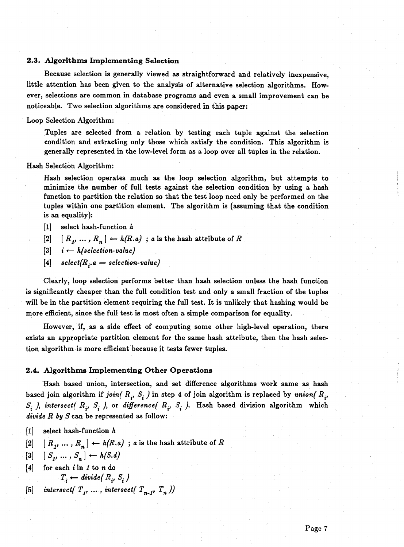#### 2.3. Algorithms Implementing Selection

Because selection is generally viewed as straightforward and relatively inexpensive, little attention has been given to the analysis of alternative selection algorithms. However, selections are common in database programs and even a small improvement can be noticeable. Two selection algorithms are considered in this paper:

#### Loop Selection Algorithm:

Tuples are selected from a relation by testing each tuple against the selection condition and extracting only those which satisfy the condition. This algorithm is generally represented in the low-level form as a loop over all tuples in the relation.

#### Hash Selection Algorithm:

Hash selection operates much as the loop selection algorithm, but attempts to minimize the number of full tests against the selection condition by using a hash function to partition the relation so that the test loop need only be performed on the tuples within one partition element. The algorithm is (assuming that the condition is an equality):

- [1] select hash-function *h*
- $[2]$   $[R_1, ..., R_n] \leftarrow h(R.a)$ ; *a* is the hash attribute of *R*
- $[3]$   $i \leftarrow h$  (selection-value)
- $[4]$   $select(R_i.a = selection-value)$

Clearly, loop selection performs better than hash selection unless the hash function is significantly cheaper than the full condition test and only a small fraction of the tuples will be in the partition element requiring the full test. It is unlikely that hashing would be more efficient, since the full test is most often a simple comparison for equality.

However, if, as a side effect of computing some other high-level operation, there exists an appropriate partition element for the same hash attribute, then the hash selection algorithm is more efficient because it tests fewer tuples.

#### **2.4. Algorithms Implementing Other Operations**

Hash based union, intersection, and set difference algorithms work same as hash based join algorithm if *join*( $R_i$ ,  $S_i$ ) in step 4 of join algorithm is replaced by *union*( $R_i$ ,  $S_i$ , intersect(  $R_i$ ,  $S_i$ , ), or *difference*(  $R_i$ ,  $S_i$ , ). Hash based division algorithm which *divide R by S* can be represented as follow:

- [1] select hash-function *h*
- $[2]$   $[R_1, ..., R_n] \leftarrow h(R.a)$ ; *a* is the hash attribute of *R*
- $[3] \quad [S_1, ..., S_n] \leftarrow h(S.d)$
- [4] for each t in *I* to *n* do  $T_i \leftarrow \text{divide}(R_i, S_i)$
- [5] *intersect*( $T_j$ , ..., intersect( $T_{n-j}$ ,  $T_n$ ))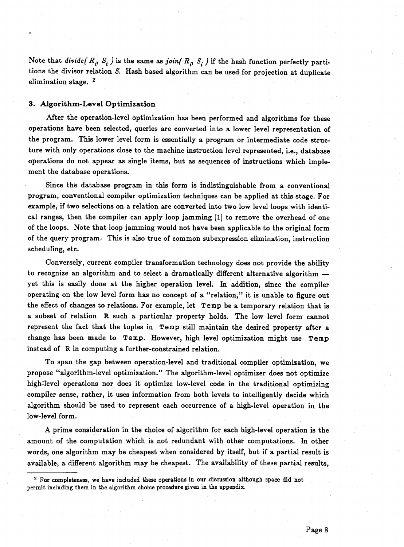Note that *divide( R<sub>i</sub>*, S<sub>i</sub>) is the same as *join( R<sub>i</sub>*, S<sub>i</sub>) if the hash function perfectly partitions the divisor relation *S.* Hash based algorithm can be used for projection at duplicate elimination stage. 2

#### **3. Algorithm-Level Optimization**

After the operation-level optimization has been performed and algorithms for these operations have been selected, queries are converted into a lower level representation of the program. This lower level form is essentially a program or intermediate code structure with only operations close to the machine instruction level represented, i.e., database operations do not appear as single items, but as sequences of instructions which implement the database operations.

Since the database program in this form is indistinguishable from a conventional program, conventional compiler optimization techniques can be applied at this stage. For example, if two selections on a relation are converted into two low level loops with identical ranges, then the compiler can apply loop jamming [1] to remove the overhead of one of the loops. Note that loop jamming would not have been applicable to the original form of the query program. This is also true of common subexpression elimination, instruction scheduling, etc.

Conversely, current compiler transformation technology does not provide the ability to recognize an algorithm and to select a dramatically different alternative algorithm yet this is easily done at the higher operation level. In addition, since the compiler operating on the low level form has no concept of a "relation," it is unable to figure out the effect of changes to relations. For example, let **Temp** be a temporary relation that is a subset of relation **R** such a particular property holds. The low level form cannot represent the fact that the tuples in **Temp** still maintain the desired property after a change has been made to **Temp.** However, high level optimization might use **Temp** instead of **R** in computing a further-constrained relation.

To span the gap between operation-level and traditional compiler optimization, we propose "algorithm-level optimization." The algorithm-level optimizer does not optimize high-level operations nor does it optimize low-level code in the traditional optimizing compiler sense, rather, it uses information from both levels to intelligently decide which algorithm should be used to represent each occurrence of a high-level operation in the low-level form.

A prime consideration in the choice of algorithm for each high-level operation is the amount of the computation which is not redundant with other computations. In other words, one algorithm may be cheapest when considered by itself, but if a partial result is available, a different algorithm may be cheapest. The availability of these partial results,

**<sup>2</sup> For completeness, we have included these operations in our discussion although space did not permit including them in the algorithm choice procedure given in the appendix.**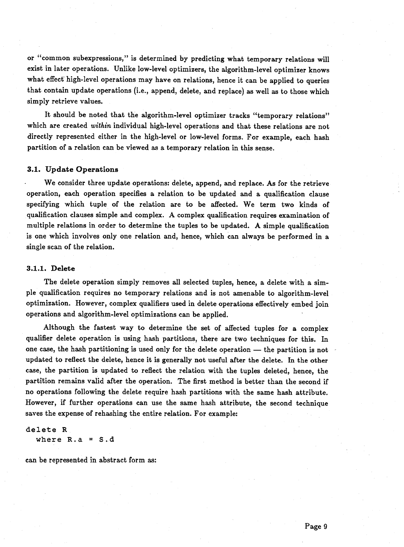or "common subexpressions," is determined by predicting what temporary relations will exist in later operations. Unlike low-level optimizers, the algorithm-level optimizer knows what effect high-level operations may have on relations, hence it can be applied to queries that contain update operations (i.e., append, delete, and replace) as well as to those which simply retrieve values.

It should be noted that the algorithm-level optimizer tracks "temporary relations" which are created *within* individual high-level operations and that these relations are not directly represented either in the high-level or low-level forms. For example, each hash partition of a relation can be viewed as a temporary relation in this sense.

#### **3.1. Update Operations**

We consider three update operations: delete, append, and replace. As for the retrieve operation, each operation specifies a relation to be updated and a qualification clause specifying which tuple of the relation are to be affected. We term two kinds of qualification clauses simple and complex. A complex qualification requires examination of multiple relations in order to determine the tuples to be updated. A simple qualification is one which involves only one relation and, hence, which can always be performed in a single scan of the relation.

#### **3.1.1. Delete**

The delete operation simply removes all selected tuples, hence, a delete with a simple qualification requires no temporary relations and is not amenable to algorithm-level optimization. However, complex qualifiers used in delete operations effectively embed join operations and algorithm-level optimizations can be applied.

Although the fastest way to determine the set of affected tuples for a complex qualifier delete operation is using hash partitions, there are two techniques for this. In one case, the hash partitioning is used only for the delete operation — the partition is not updated to reflect the delete, hence it is generally not useful after the delete. In the other case, the partition is updated to reflect the relation with the tuples deleted, hence, the partition remains valid after the operation. The first method is better than the second if no operations following the delete require hash partitions with the same hash attribute. However, if further operations can use the same hash attribute, the second technique saves the expense of rehashing the entire relation. For example:

## **delete R**

**where R.a = S.d**

can be represented in abstract form as: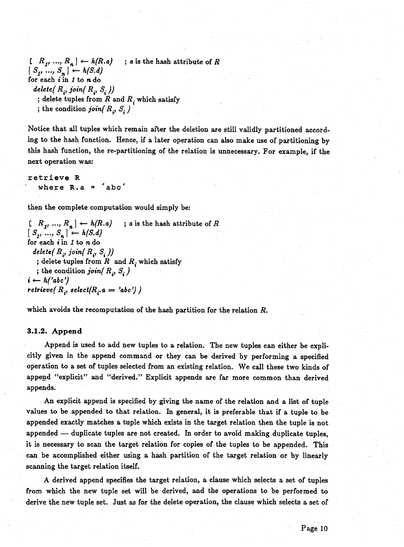$\begin{bmatrix} R_1, ..., R_n \end{bmatrix} \leftarrow h(R.a)$  ; *a* is the hash attribute of *R*  $[S_1, ..., S_n] \leftarrow h(S, d)$ for each *i* in *I* to n do *delete( R i, joinf R i, Si ))* ; delete tuples from *R* and  $R_i$  which satisfy ; the condition *join*( $R_i$ ,  $S_i$ )

Notice that all tuples which remain after the deletion are still validly partitioned according to the hash function. Hence, if a later operation can also make use of partitioning by this hash function, the re-partitioning of the relation is unnecessary. For example, if the next operation was:

**retrieve R where R.a = 'abc'**

then the complete computation would simply be:

 $[R_1, ..., R_n] \leftarrow h(R.a)$ ; *a* is the hash attribute of *R*  $[S_1, ..., S_n] \leftarrow h(S.d)$ for each *i* in *I* to n do  $delete(R_i, join(R_i, S_i))$ ; delete tuples from *R* and  $R_i$  which satisfy ; the condition *join*( $R_i$ ,  $S_i$ )  $i \leftarrow h('abc')$ *retrieve*( $R_i$ , select( $R_i$ ,  $a = 'abc'$ )

which avoids the recomputation of the hash partition for the relation *R.*

#### *3.1.2.* **Append**

Append is used to add new tuples to a relation. The new tuples can either be explicitly given in the append command or they can be derived by performing a specified operation to a set of tuples selected from an existing relation. We call these two kinds of append "explicit" and "derived." Explicit appends are far more common than derived appends.

An explicit append is specified by giving the name of the relation and a list of tuple values to be appended to that relation. In general, it is preferable that if a tuple to be appended exactly matches a tuple which exists in the target relation then the tuple is not appended — duplicate tuples are not created. In order to avoid making duplicate tuples, it is necessary to scan the target relation for copies of the tuples to be appended. This can be accomplished either using a hash partition of the target relation or by linearly scanning the target relation itself.

A derived append specifies the target relation, a clause which selects a set of tuples from which the new tuple set will be derived, and the operations to be performed to derive the new tuple set. Just as for the delete operation, the clause which selects a set of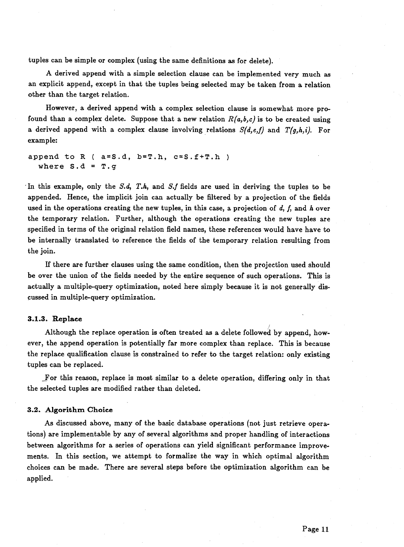tuples can be simple or complex (using the same definitions as for delete).

A derived append with a simple selection clause can be implemented very much as an explicit append, except in that the tuples being selected may be taken from a relation other than the target relation.

However, a derived append with a complex selection clause is somewhat more profound than a complex delete. Suppose that a new relation  $R(a,b,c)$  is to be created using a derived append with a complex clause involving relations  $S(d,e,f)$  and  $T(g,h,i)$ . For example:

**append to R ( a=S.d, b=T.h, c=S.f+T.h ) where S.d = T.g**

In this example, only the *S.d.*, *T.h.*, and *S.f* fields are used in deriving the tuples to be appended. Hence, the implicit join can actually be filtered by a projection of the fields used in the operations creating the new tuples, in this case, a projection of *d*, /, and *h* over the temporary relation. Further, although the operations creating the new tuples are specified in terms of the original relation field names, these references would have have to be internally translated to reference the fields of the temporary relation resulting from the join.

If there are further clauses using the same condition, then the projection used should be over the union of the fields needed by the entire sequence of such operations. This is actually a multiple-query optimization, noted here simply because it is not generally discussed in multiple-query optimization.

#### **3.1.3. Replace**

*)* Although the replace operation is often treated as a delete followed by append, however, the append operation is potentially far more complex than replace. This is because the replace qualification clause is constrained to refer to the target relation: only existing tuples can be replaced.

For this reason, replace is most similar to a delete operation, differing only in that the selected tuples are modified rather than deleted.

#### **3.2. A lgorithm Choice**

As discussed above, many of the basic database operations (not just retrieve operations) are implementable by any of several algorithms and proper handling of interactions between algorithms for a series of operations can yield significant performance improvements. In this section, we attempt to formalize the way in which optimal algorithm choices can be made. There are several steps before the optimization algorithm can be applied.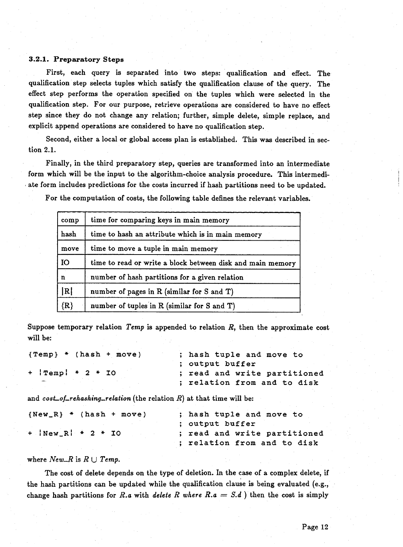#### **3.2.1. Preparatory Steps**

First, each query is separated into two steps: qualification and effect. The qualification step selects tuples which satisfy the qualification clause of the query. The effect step performs the operation specified on the tuples which were selected in the qualification step. For our purpose, retrieve operations are considered to have no effect step since they do not change any relation; further, simple delete, simple replace, and explicit append operations are considered to have no qualification step.

Second, either a local or global access plan is established. This was described in section 2.1.

Finally, in the third preparatory step, queries are transformed into an intermediate form which will be the input to the algorithm-choice analysis procedure. This intermediate form includes predictions for the costs incurred if hash partitions need to be updated.

For the computation of costs, the following table defines the relevant variables.

| comp          | time for comparing keys in main memory                     |
|---------------|------------------------------------------------------------|
| hash          | time to hash an attribute which is in main memory          |
| move          | time to move a tuple in main memory                        |
| <b>IO</b>     | time to read or write a block between disk and main memory |
| n             | number of hash partitions for a given relation             |
| R             | number of pages in R (similar for S and T)                 |
| $\{{\bf R}\}$ | number of tuples in R (similar for S and T)                |

Suppose temporary relation *Temp* is appended to relation *R,* then the approximate cost will be:

| ${Temp}$ * (hash + move)  | ; hash tuple and move to     |
|---------------------------|------------------------------|
|                           | : output buffer              |
| $+$   Temp   $*$ 2 $*$ IO | ; read and write partitioned |
| $-$                       | ; relation from and to disk  |

and *cost—of-rehashing—relation* (the relation *R)* at that time will be:

| ${New_R}$ * ${hash + move}$ | ; hash tuple and move to     |
|-----------------------------|------------------------------|
|                             | ; output buffer              |
| $+$  New R  $*$ 2 $*$ 10    | ; read and write partitioned |
|                             | ; relation from and to disk  |

#### where New R is  $R \cup Temp$ .

The cost of delete depends on the type of deletion. In the case of a complex delete, if the hash partitions can be updated while the qualification clause is being evaluated (e.g., change hash partitions for *R.a* with *delete R where*  $R.a = S.d$  ) then the cost is simply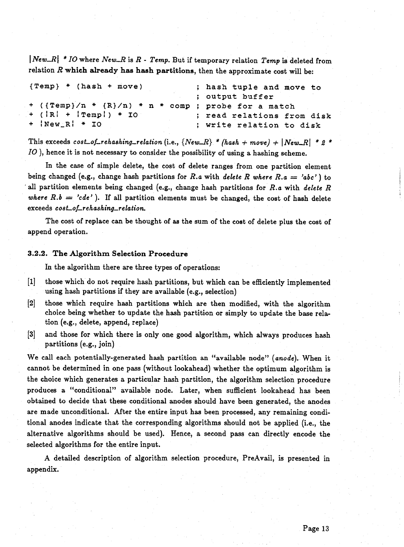I *New—R\ \* IO* where *New—R* is *R - Temp.* But if temporary relation *Temp* is deleted from relation *R* **which already has hash partitions,** then the approximate cost will be:

| ${Temp}$ * (hash + move)                                    | ; hash tuple and move to   |
|-------------------------------------------------------------|----------------------------|
|                                                             | ; output buffer            |
| $+$ ({Temp}/n $*$ {R}/n) $*$ n $*$ comp ; probe for a match |                            |
| $+$ ( $ R $ + $ $ Temp!) * IO                               | ; read relations from disk |
| $+$ $ New_R $ $*$ 10                                        | ; write relation to disk   |

This exceeds  $cost_of_rehashing_relation$  (i.e.,  ${New_R} * (hash + move) + |New_R| * 2 *$ *IO* ), hence it is not necessary to consider the possibility of using a hashing scheme.

In the case of simple delete, the cost of delete ranges from one partition element being changed (e.g., change hash partitions for *R.a* with *delete R where R.a — 'abc'* ) to all partition elements being changed (e.g., change hash partitions for *R.a* with *delete R where R.b = 'cde'*). If all partition elements must be changed, the cost of hash delete exceeds *cost—of—rehashing—relation.*

The cost of replace can be thought of as the sum of the cost of delete plus the cost of append operation.

#### **3.2.2. The A lgorithm Selection Procedure**

In the algorithm there are three types of operations:

- [1] those which do not require hash partitions, but which can be efficiently implemented using hash partitions if they are available (e.g., selection)
- [2] those which require hash partitions which are then modified, with the algorithm choice being whether to update the hash partition or simply to update the base relation (e.g., delete, append, replace)
- [3] and those for which there is only one good algorithm, which always produces hash partitions (e.g., join)

We call each potentially-generated hash partition an "available node" *(anode).* When it cannot be determined in one pass (without lookahead) whether the optimum algorithm is the choice which generates a particular hash partition, the algorithm selection procedure produces a "conditional" available node. Later, when sufficient lookahead has been obtained to decide that these conditional anodes should have been generated, the anodes are made unconditional. After the entire input has been processed, any remaining conditional anodes indicate that the corresponding algorithms should not be applied (i.e., the alternative algorithms should be used). Hence, a second pass can directly encode the selected algorithms for the entire input.

A detailed description of algorithm selection procedure, PreAvail, is presented in appendix.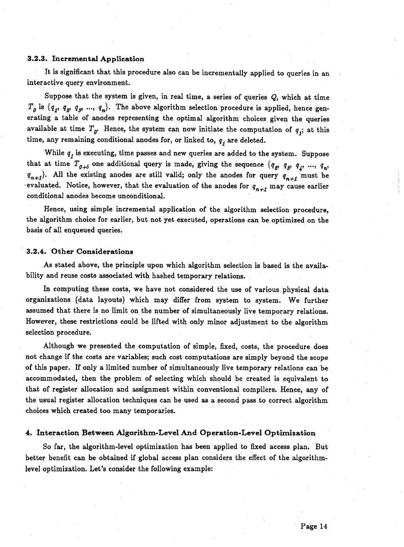#### **3.2.3.** Incremental Application

It is significant that this procedure also can be incrementally applied to queries in an interactive query environment.

Suppose that the system is given, in real time, a series of queries Q, which at time  $T_0$  is  $\{q_1, q_2, q_3, ..., q_n\}$ . The above algorithm selection procedure is applied, hence generating a table of anodes representing the optimal algorithm choices given the queries available at time  $T_g$ . Hence, the system can now initiate the computation of  $q<sub>j</sub>$ ; at this time, any remaining conditional anodes for, or linked to,  $q_t$  are deleted.

While  $q<sub>r</sub>$  is executing, time passes and new queries are added to the system. Suppose that at time  $T_{q+\delta}$  one additional query is made, giving the sequence  $\{q_g, q_g, q_g, \ldots, q_n\}$  $q_{n+1}$ . All the existing anodes are still valid; only the anodes for query  $q_{n+1}$  must be evaluated. Notice, however, that the evaluation of the anodes for  $q_{n+1}$  may cause earlier conditional anodes become unconditional.

Hence, using simple incremental application of the algorithm selection procedure, the algorithm choice for earlier, but not yet executed, operations can be optimized on the basis of all enqueued queries.

#### **3.2.4. Other Considerations**

As stated above, the principle upon which algorithm selection is based is the availability and reuse costs associated with hashed temporary relations.

In computing these costs, we have not considered the use of various physical data organizations (data layouts) which may differ from system to system. We further assumed that there is no limit on the number of simultaneously live temporary relations. However, these restrictions could be lifted with only minor adjustment to the algorithm selection procedure.

Although we presented the computation of simple, fixed, costs, the procedure does not change if the costs are variables; such cost computations are simply beyond the scope of this paper. If only a limited number of simultaneously live temporary relations can be accommodated, then the problem of selecting which should be created is equivalent to that of register allocation and assignment within conventional compilers. Hence, any of the usual register allocation techniques can be used as a second pass to correct algorithm choices which created too many temporaries.

#### **4. Interaction Between Algorithm-Level And Operation-Level Optimization**

So far, the algorithm-level optimization has been applied to fixed access plan. But better benefit can be obtained if global access plan considers the effect of the algorithmlevel optimization. Let's consider the following example: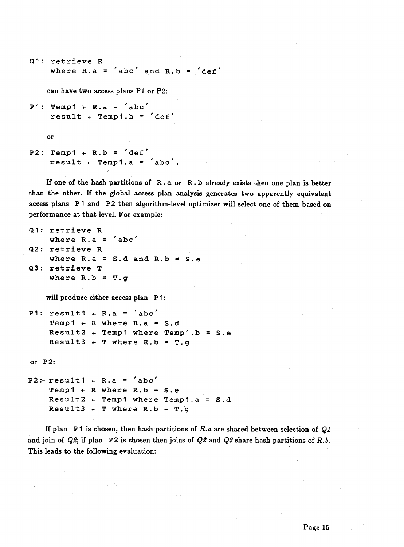```
Q1 : retrieve R
    where R.a = 'abc' and R.b = 'def'
```
can have two access plans  $P1$  or  $P2$ :

```
P1: Temp1 \leftarrow R.a = 'abc'result \leftarrow Temp1.b = 'def'
```
or

```
P2: Temp1 \leftarrow R.b = \text{def}result + Temp1.a = 'abc'.
```
If one of the hash partitions of **R . a** or **R.b** already exists then one plan is better than the other. If the global access plan analysis generates two apparently equivalent access plans P1 and P2 then algorithm-level optimizer will select one of them based on performance at that level. For example:

```
Q 1: retrieve R
    where R.a = 'abc'
Q2 : retrieve R
    where R.a = S.d and R.b = S.e
Q3 : retrieve T
    where R.b = T.g
```
will produce either access plan P 1:

```
P1: result1 \leftarrow R.a = 'abc'Temp1 + R where R.a = S.dResult2 4- Tempi where Tempi.b = S.e
    Result3 + T where R.b = T.g
```
**or P 2:**

```
P2:- resultl 4- R.a = 'abc'
    Temp1 + R where R.b = S.eResult2 4- Tempi where Tempi, a = S.d
    Result3 + T where R.b = T.g
```
If plan P 1 is chosen, then hash partitions of *R.a* are shared between selection of *Ql* and join of *Q2*; if plan P2 is chosen then joins of *Q2* and *Q3* share hash partitions of *R.b.* This leads to the following evaluation: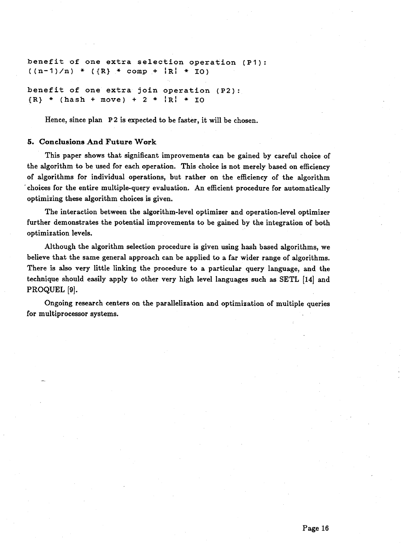benefit of one extra selection operation (P1):  $((n-1)/n)$  \*  $((R)$  \* comp +  $|R|$  \* 10) **benefit of one extra join operation (P2):**  ${R}$  \* (hash + move) + 2 \*  ${R}$  \* IO

Hence, since plan P2 is expected to be faster, it will be chosen.

#### *5.* **Conclusions And Future W ork**

This paper shows that significant improvements can be gained by careful choice of the algorithm to be used for each operation. This choice is not merely based on efficiency of algorithms for individual operations, but rather on the efficiency of the algorithm ' choices for the entire multiple-query evaluation. An efficient procedure for automatically optimizing these algorithm choices is given.

The interaction between the algorithm-level optimizer and operation-level optimizer further demonstrates the potential improvements to be gained by the integration of both optimization levels.

Although the algorithm selection procedure is given using hash based algorithms, we believe that the same general approach can be applied to a far wider range of algorithms. There is also very little linking the procedure to a particular query language, and the technique should easily apply to other very high level languages such as SETL [14] and PROQUEL [9].

Ongoing research centers on the parallelization and optimization of multiple queries for multiprocessor systems.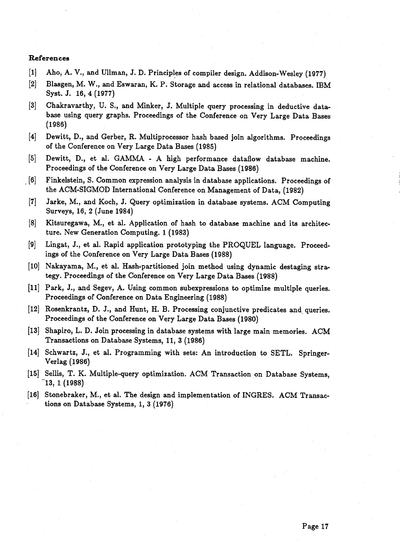#### **References**

- [1] Aho, A. V., and Ullman, J. D. Principles of compiler design. Addison-Wesley (1977)
- [2] Blasgen, M. W., and Eswaran, K. P. Storage and access in relational databases. IBM Syst. J. 16, 4 (1977)
- [3] Chakravarthy, U. S., and Minker, J. Multiple query processing in deductive database using query graphs. Proceedings of the Conference on Very Large Data Bases (1986)
- [4] Dewitt, D., and Gerber, R. Multiprocessor hash based join algorithms. Proceedings of the Conference on Very Large Data Bases (1985)
- [5] Dewitt, D., et al. GAMMA A high performance dataflow database machine. Proceedings of the Conference on Very Large Data Bases (1986)
- [6] Finkelstein, S. Common expression analysis in database applications. Proceedings of the ACM-SIGMOD International Conference on Management of Data, (1982)
- [7] Jarke, M., and Koch, J. Query optimization in database systems. ACM Computing Surveys, 16, 2 (June 1984)
- [8] Kitsuregawa, M., et al. Application of hash to database machine and its architecture. New Generation Computing. I (1983)
- [9] Lingat, J., et al. Rapid application prototyping the PROQUEL language. Proceedings of the Conference on Very Large Data Bases (1988)
- [10] Nakayama, M., et al. Hash-partitioned join method using dynamic destaging strategy. Proceedings of the Conference on Very Large Data Bases (1988)
- [11] Park, J., and Segev, A. Using common subexpressions to optimize multiple queries. Proceedings of Conference on Data Engineering (1988)
- [12] Rosenkrantz, D. J., and Hunt, H. B. Processing conjunctive predicates and queries. Proceedings of the Conference on Very Large Data Bases (1980)
- [13] Shapiro, L. D. Join processing in database systems with large main memories. ACM Transactions on Database Systems, 11, 3 (1986)
- [14] Schwartz, J., et al. Programming with sets: An introduction to SETL. Springer-Verlag (1986)
- [15] Sellis, T. K. Multiple-query optimization. ACM Transaction on Database Systems, 13, I (1988)
- [16] Stonebraker, M., et al. The design and implementation of INGRES. ACM Transactions on Database Systems, I, 3 (1976)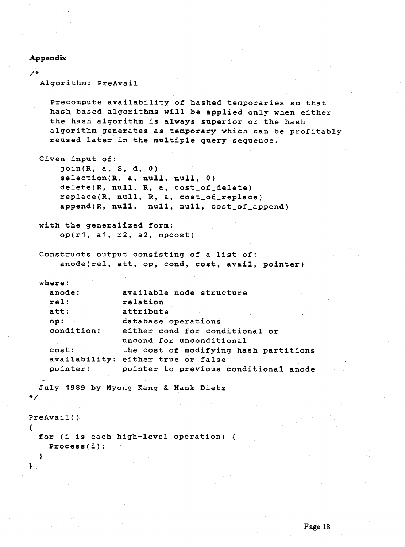#### **A ppendix**

}

 $/$ \* **Algorithm: PreAvail Precompute availability of hashed temporaries so that hash based algorithms will be applied only when either the hash algorithm is always superior or the hash algorithm generates as temporary which can be profitably reused later in the multiple-query sequence. Given input of: join(R, a, S, d, 0) selection(R, a, null, null, 0)** delete(R, null, R, a, cost\_of\_delete) replace(R, null, R, a, cost\_of\_replace) append(R, null, null, null, cost\_of\_append) **with the generalized form: op(r1, a1, r2, a2, opcost) Constructs output consisting of a list of: anode(rel, att, op, cond, cost, avail, pointer) where: available node structure anode: r e l: relation att: attribute op: database operations either cond for conditional or condition: uncond for unconditional the cost of modifying hash partitions cost: availability: either true or false pointer: pointer to previous conditional anode July 1989 by Myong Kang &. Hank Dietz** \* / **PreAvail() { for (i is each high-level operation) { Process(i); }**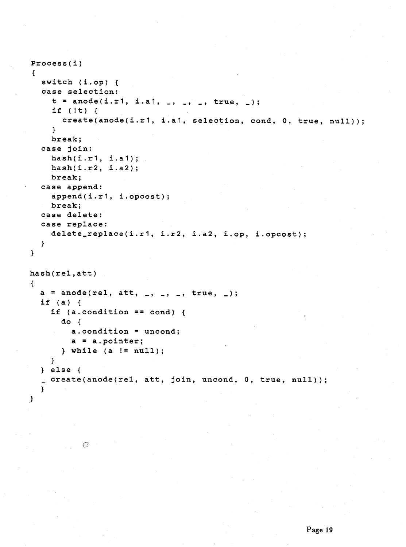```
Process(i )
{
  switch (i .op) {
  case selection:
    t = anode(i.r1, i.a1, _, _, _, true, _);
    if (It) {
       create(anode(i .r1, i.a1, selection, cond, 0, true,
null));
    }
    break;
  case join:
    hash(i .r1, i .a1);
    hash(i .r2, i . a2);
    break;
  case append:
    append(i.r1, i.opcost);
    break;
  case delete:
  case replace:
    delete_replace(i .r 1, i.r2, i.a2, i.op, i.opcost);
  }
>
hash(rel,att)
{
  a = anode(rel, att, _, _, _, true, _);
  if (a) {
    if (a.condition == cond) {
      do {
        a.condition = uncond;
        a = a.pointer;
      } while (a I= null);
    }
  } else {
  create(anode(rel, att, join, uncond, 0, true, null));
  }
\mathcal{F}
```